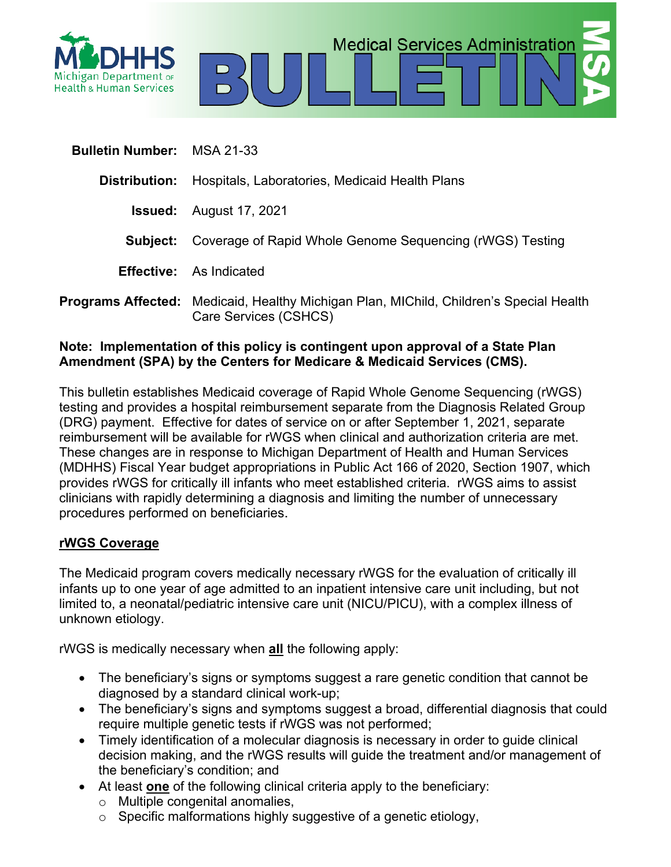

| <b>Bulletin Number: MSA 21-33</b> |                                                                                                                        |
|-----------------------------------|------------------------------------------------------------------------------------------------------------------------|
| Distribution:                     | Hospitals, Laboratories, Medicaid Health Plans                                                                         |
|                                   | <b>Issued:</b> August 17, 2021                                                                                         |
| Subject:                          | Coverage of Rapid Whole Genome Sequencing (rWGS) Testing                                                               |
|                                   | <b>Effective:</b> As Indicated                                                                                         |
|                                   | <b>Programs Affected:</b> Medicaid, Healthy Michigan Plan, MIChild, Children's Special Health<br>Care Services (CSHCS) |

**Medical Services Administration** 

### **Note: Implementation of this policy is contingent upon approval of a State Plan Amendment (SPA) by the Centers for Medicare & Medicaid Services (CMS).**

This bulletin establishes Medicaid coverage of Rapid Whole Genome Sequencing (rWGS) testing and provides a hospital reimbursement separate from the Diagnosis Related Group (DRG) payment. Effective for dates of service on or after September 1, 2021, separate reimbursement will be available for rWGS when clinical and authorization criteria are met. These changes are in response to Michigan Department of Health and Human Services (MDHHS) Fiscal Year budget appropriations in Public Act 166 of 2020, Section 1907, which provides rWGS for critically ill infants who meet established criteria. rWGS aims to assist clinicians with rapidly determining a diagnosis and limiting the number of unnecessary procedures performed on beneficiaries.

### **rWGS Coverage**

The Medicaid program covers medically necessary rWGS for the evaluation of critically ill infants up to one year of age admitted to an inpatient intensive care unit including, but not limited to, a neonatal/pediatric intensive care unit (NICU/PICU), with a complex illness of unknown etiology.

rWGS is medically necessary when **all** the following apply:

- The beneficiary's signs or symptoms suggest a rare genetic condition that cannot be diagnosed by a standard clinical work-up;
- The beneficiary's signs and symptoms suggest a broad, differential diagnosis that could require multiple genetic tests if rWGS was not performed;
- Timely identification of a molecular diagnosis is necessary in order to guide clinical decision making, and the rWGS results will guide the treatment and/or management of the beneficiary's condition; and
- At least **one** of the following clinical criteria apply to the beneficiary:
	- o Multiple congenital anomalies,
	- $\circ$  Specific malformations highly suggestive of a genetic etiology,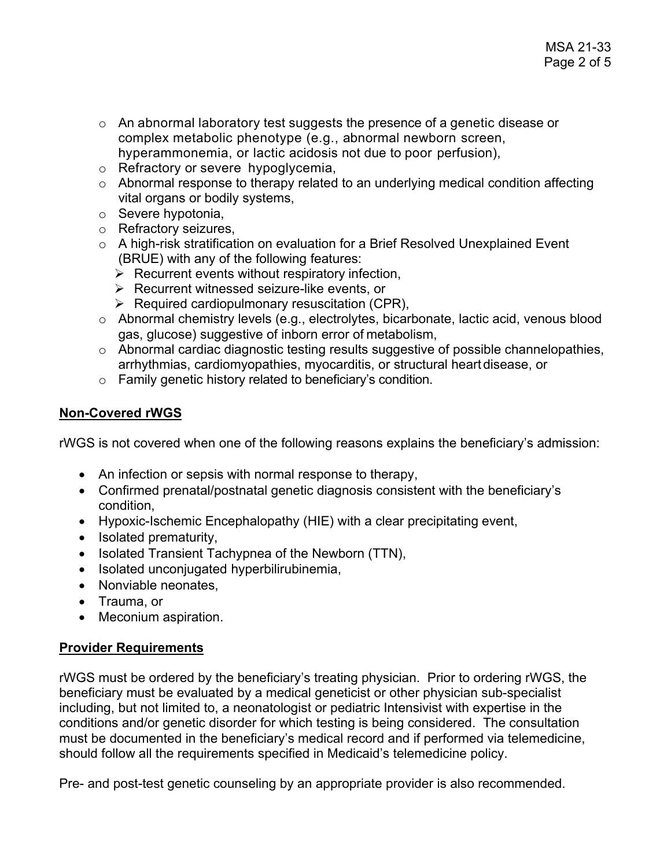- o An abnormal laboratory test suggests the presence of a genetic disease or complex metabolic phenotype (e.g., abnormal newborn screen, hyperammonemia, or lactic acidosis not due to poor perfusion),
- o Refractory or severe hypoglycemia,
- o Abnormal response to therapy related to an underlying medical condition affecting vital organs or bodily systems,
- o Severe hypotonia,
- o Refractory seizures,
- o A high-risk stratification on evaluation for a Brief Resolved Unexplained Event (BRUE) with any of the following features:
	- $\triangleright$  Recurrent events without respiratory infection,
	- $\triangleright$  Recurrent witnessed seizure-like events, or
	- $\triangleright$  Required cardiopulmonary resuscitation (CPR),
- o Abnormal chemistry levels (e.g., electrolytes, bicarbonate, lactic acid, venous blood gas, glucose) suggestive of inborn error of metabolism,
- o Abnormal cardiac diagnostic testing results suggestive of possible channelopathies, arrhythmias, cardiomyopathies, myocarditis, or structural heart disease, or
- o Family genetic history related to beneficiary's condition.

# **Non-Covered rWGS**

rWGS is not covered when one of the following reasons explains the beneficiary's admission:

- An infection or sepsis with normal response to therapy,
- Confirmed prenatal/postnatal genetic diagnosis consistent with the beneficiary's condition,
- Hypoxic-Ischemic Encephalopathy (HIE) with a clear precipitating event,
- Isolated prematurity,
- Isolated Transient Tachypnea of the Newborn (TTN),
- Isolated unconjugated hyperbilirubinemia,
- Nonviable neonates.
- Trauma, or
- Meconium aspiration.

### **Provider Requirements**

rWGS must be ordered by the beneficiary's treating physician. Prior to ordering rWGS, the beneficiary must be evaluated by a medical geneticist or other physician sub-specialist including, but not limited to, a neonatologist or pediatric Intensivist with expertise in the conditions and/or genetic disorder for which testing is being considered. The consultation must be documented in the beneficiary's medical record and if performed via telemedicine, should follow all the requirements specified in Medicaid's telemedicine policy.

Pre- and post-test genetic counseling by an appropriate provider is also recommended.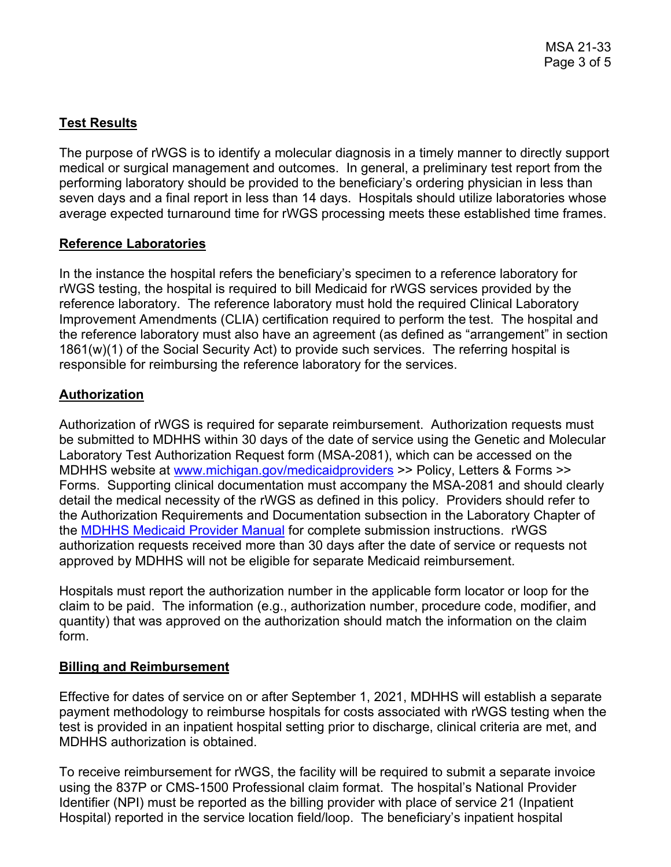# **Test Results**

The purpose of rWGS is to identify a molecular diagnosis in a timely manner to directly support medical or surgical management and outcomes. In general, a preliminary test report from the performing laboratory should be provided to the beneficiary's ordering physician in less than seven days and a final report in less than 14 days. Hospitals should utilize laboratories whose average expected turnaround time for rWGS processing meets these established time frames.

### **Reference Laboratories**

In the instance the hospital refers the beneficiary's specimen to a reference laboratory for rWGS testing, the hospital is required to bill Medicaid for rWGS services provided by the reference laboratory. The reference laboratory must hold the required Clinical Laboratory Improvement Amendments (CLIA) certification required to perform the test. The hospital and the reference laboratory must also have an agreement (as defined as "arrangement" in section 1861(w)(1) of the Social Security Act) to provide such services. The referring hospital is responsible for reimbursing the reference laboratory for the services.

# **Authorization**

Authorization of rWGS is required for separate reimbursement. Authorization requests must be submitted to MDHHS within 30 days of the date of service using the Genetic and Molecular Laboratory Test Authorization Request form (MSA-2081), which can be accessed on the MDHHS website at [www.michigan.gov/medicaidproviders](http://www.michigan.gov/medicaidproviders) >> Policy, Letters & Forms >> Forms. Supporting clinical documentation must accompany the MSA-2081 and should clearly detail the medical necessity of the rWGS as defined in this policy. Providers should refer to the Authorization Requirements and Documentation subsection in the Laboratory Chapter of the MDHHS [Medicaid Provider Manual](https://www.mdch.state.mi.us/dch-medicaid/manuals/MedicaidProviderManual.pdf) for complete submission instructions. rWGS authorization requests received more than 30 days after the date of service or requests not approved by MDHHS will not be eligible for separate Medicaid reimbursement.

Hospitals must report the authorization number in the applicable form locator or loop for the claim to be paid. The information (e.g., authorization number, procedure code, modifier, and quantity) that was approved on the authorization should match the information on the claim form.

### **Billing and Reimbursement**

Effective for dates of service on or after September 1, 2021, MDHHS will establish a separate payment methodology to reimburse hospitals for costs associated with rWGS testing when the test is provided in an inpatient hospital setting prior to discharge, clinical criteria are met, and MDHHS authorization is obtained.

To receive reimbursement for rWGS, the facility will be required to submit a separate invoice using the 837P or CMS-1500 Professional claim format. The hospital's National Provider Identifier (NPI) must be reported as the billing provider with place of service 21 (Inpatient Hospital) reported in the service location field/loop. The beneficiary's inpatient hospital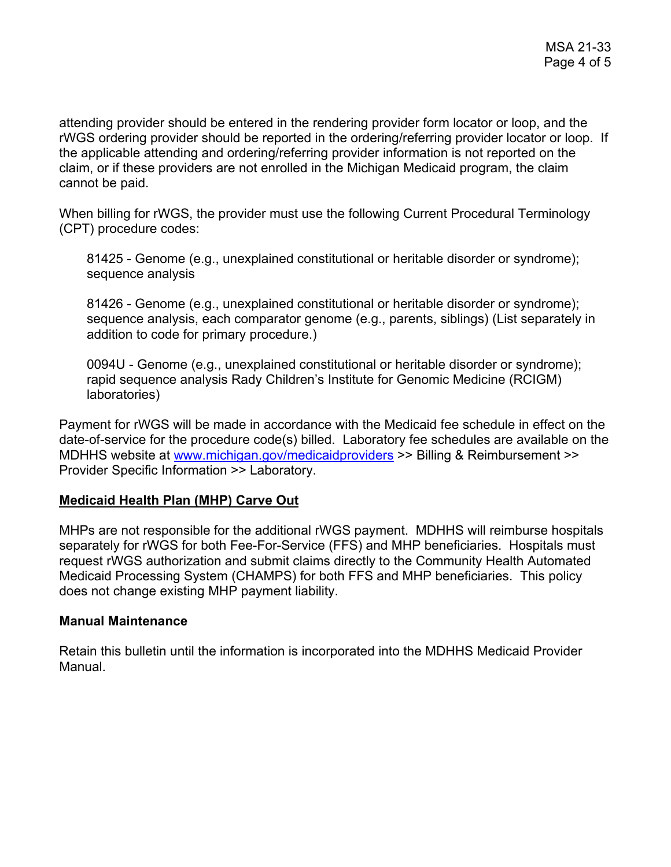attending provider should be entered in the rendering provider form locator or loop, and the rWGS ordering provider should be reported in the ordering/referring provider locator or loop. If the applicable attending and ordering/referring provider information is not reported on the claim, or if these providers are not enrolled in the Michigan Medicaid program, the claim cannot be paid.

When billing for rWGS, the provider must use the following Current Procedural Terminology (CPT) procedure codes:

81425 - Genome (e.g., unexplained constitutional or heritable disorder or syndrome); sequence analysis

81426 - Genome (e.g., unexplained constitutional or heritable disorder or syndrome); sequence analysis, each comparator genome (e.g., parents, siblings) (List separately in addition to code for primary procedure.)

0094U - Genome (e.g., unexplained constitutional or heritable disorder or syndrome); rapid sequence analysis Rady Children's Institute for Genomic Medicine (RCIGM) laboratories)

Payment for rWGS will be made in accordance with the Medicaid fee schedule in effect on the date-of-service for the procedure code(s) billed. Laboratory fee schedules are available on the MDHHS website at [www.michigan.gov/medicaidproviders](http://www.michigan.gov/medicaidproviders) >> Billing & Reimbursement >> Provider Specific Information >> Laboratory.

### **Medicaid Health Plan (MHP) Carve Out**

MHPs are not responsible for the additional rWGS payment. MDHHS will reimburse hospitals separately for rWGS for both Fee-For-Service (FFS) and MHP beneficiaries. Hospitals must request rWGS authorization and submit claims directly to the Community Health Automated Medicaid Processing System (CHAMPS) for both FFS and MHP beneficiaries. This policy does not change existing MHP payment liability.

### **Manual Maintenance**

Retain this bulletin until the information is incorporated into the MDHHS Medicaid Provider Manual.